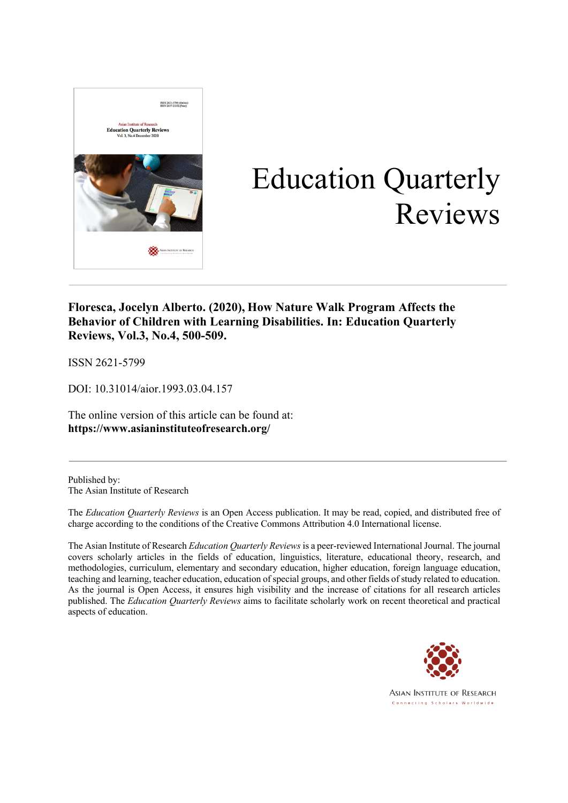

# Education Quarterly Reviews

### **Floresca, Jocelyn Alberto. (2020), How Nature Walk Program Affects the Behavior of Children with Learning Disabilities. In: Education Quarterly Reviews, Vol.3, No.4, 500-509.**

ISSN 2621-5799

DOI: 10.31014/aior.1993.03.04.157

The online version of this article can be found at: **https://www.asianinstituteofresearch.org/**

Published by: The Asian Institute of Research

The *Education Quarterly Reviews* is an Open Access publication. It may be read, copied, and distributed free of charge according to the conditions of the Creative Commons Attribution 4.0 International license.

The Asian Institute of Research *Education Quarterly Reviews* is a peer-reviewed International Journal. The journal covers scholarly articles in the fields of education, linguistics, literature, educational theory, research, and methodologies, curriculum, elementary and secondary education, higher education, foreign language education, teaching and learning, teacher education, education of special groups, and other fields of study related to education. As the journal is Open Access, it ensures high visibility and the increase of citations for all research articles published. The *Education Quarterly Reviews* aims to facilitate scholarly work on recent theoretical and practical aspects of education.



**ASIAN INSTITUTE OF RESEARCH** Connecting Scholars Worldwide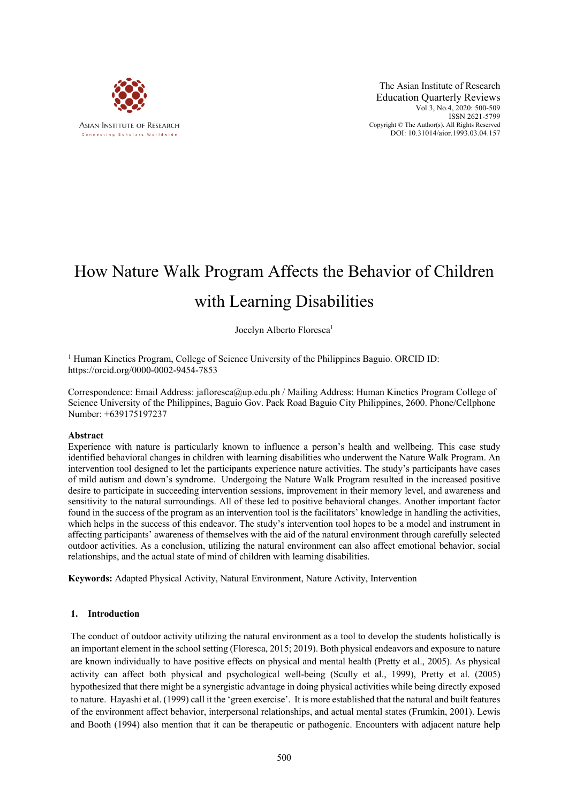

The Asian Institute of Research Education Quarterly Reviews Vol.3, No.4, 2020: 500-509 ISSN 2621-5799 Copyright © The Author(s). All Rights Reserved DOI: 10.31014/aior.1993.03.04.157

## How Nature Walk Program Affects the Behavior of Children with Learning Disabilities

Jocelyn Alberto Floresca<sup>1</sup>

<sup>1</sup> Human Kinetics Program, College of Science University of the Philippines Baguio. ORCID ID: https://orcid.org/0000-0002-9454-7853

Correspondence: Email Address: jafloresca@up.edu.ph / Mailing Address: Human Kinetics Program College of Science University of the Philippines, Baguio Gov. Pack Road Baguio City Philippines, 2600. Phone/Cellphone Number: +639175197237

#### **Abstract**

Experience with nature is particularly known to influence a person's health and wellbeing. This case study identified behavioral changes in children with learning disabilities who underwent the Nature Walk Program. An intervention tool designed to let the participants experience nature activities. The study's participants have cases of mild autism and down's syndrome. Undergoing the Nature Walk Program resulted in the increased positive desire to participate in succeeding intervention sessions, improvement in their memory level, and awareness and sensitivity to the natural surroundings. All of these led to positive behavioral changes. Another important factor found in the success of the program as an intervention tool is the facilitators' knowledge in handling the activities, which helps in the success of this endeavor. The study's intervention tool hopes to be a model and instrument in affecting participants' awareness of themselves with the aid of the natural environment through carefully selected outdoor activities. As a conclusion, utilizing the natural environment can also affect emotional behavior, social relationships, and the actual state of mind of children with learning disabilities.

**Keywords:** Adapted Physical Activity, Natural Environment, Nature Activity, Intervention

#### **1. Introduction**

The conduct of outdoor activity utilizing the natural environment as a tool to develop the students holistically is an important element in the school setting (Floresca, 2015; 2019). Both physical endeavors and exposure to nature are known individually to have positive effects on physical and mental health (Pretty et al., 2005). As physical activity can affect both physical and psychological well-being (Scully et al., 1999), Pretty et al. (2005) hypothesized that there might be a synergistic advantage in doing physical activities while being directly exposed to nature. Hayashi et al. (1999) call it the 'green exercise'. It is more established that the natural and built features of the environment affect behavior, interpersonal relationships, and actual mental states (Frumkin, 2001). Lewis and Booth (1994) also mention that it can be therapeutic or pathogenic. Encounters with adjacent nature help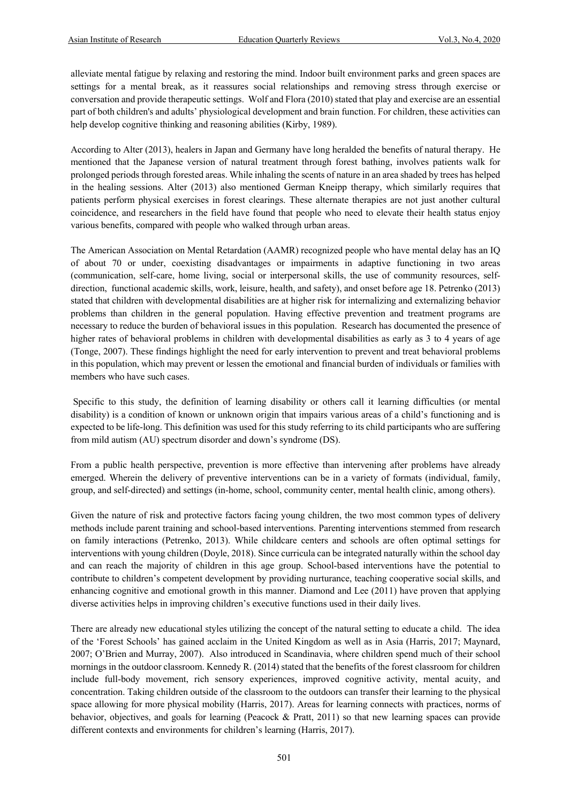alleviate mental fatigue by relaxing and restoring the mind. Indoor built environment parks and green spaces are settings for a mental break, as it reassures social relationships and removing stress through exercise or conversation and provide therapeutic settings. Wolf and Flora (2010) stated that play and exercise are an essential part of both children's and adults' physiological development and brain function. For children, these activities can help develop cognitive thinking and reasoning abilities (Kirby, 1989).

According to Alter (2013), healers in Japan and Germany have long heralded the benefits of natural therapy. He mentioned that the Japanese version of natural treatment through forest bathing, involves patients walk for prolonged periods through forested areas. While inhaling the scents of nature in an area shaded by trees has helped in the healing sessions. Alter (2013) also mentioned German Kneipp therapy, which similarly requires that patients perform physical exercises in forest clearings. These alternate therapies are not just another cultural coincidence, and researchers in the field have found that people who need to elevate their health status enjoy various benefits, compared with people who walked through urban areas.

The American Association on Mental Retardation (AAMR) recognized people who have mental delay has an IQ of about 70 or under, coexisting disadvantages or impairments in adaptive functioning in two areas (communication, self-care, home living, social or interpersonal skills, the use of community resources, selfdirection, functional academic skills, work, leisure, health, and safety), and onset before age 18. Petrenko (2013) stated that children with developmental disabilities are at higher risk for internalizing and externalizing behavior problems than children in the general population. Having effective prevention and treatment programs are necessary to reduce the burden of behavioral issues in this population. Research has documented the presence of higher rates of behavioral problems in children with developmental disabilities as early as 3 to 4 years of age (Tonge, 2007). These findings highlight the need for early intervention to prevent and treat behavioral problems in this population, which may prevent or lessen the emotional and financial burden of individuals or families with members who have such cases.

Specific to this study, the definition of learning disability or others call it learning difficulties (or mental disability) is a condition of known or unknown origin that impairs various areas of a child's functioning and is expected to be life-long. This definition was used for this study referring to its child participants who are suffering from mild autism (AU) spectrum disorder and down's syndrome (DS).

From a public health perspective, prevention is more effective than intervening after problems have already emerged. Wherein the delivery of preventive interventions can be in a variety of formats (individual, family, group, and self-directed) and settings (in-home, school, community center, mental health clinic, among others).

Given the nature of risk and protective factors facing young children, the two most common types of delivery methods include parent training and school-based interventions. Parenting interventions stemmed from research on family interactions (Petrenko, 2013). While childcare centers and schools are often optimal settings for interventions with young children (Doyle, 2018). Since curricula can be integrated naturally within the school day and can reach the majority of children in this age group. School-based interventions have the potential to contribute to children's competent development by providing nurturance, teaching cooperative social skills, and enhancing cognitive and emotional growth in this manner. Diamond and Lee (2011) have proven that applying diverse activities helps in improving children's executive functions used in their daily lives.

There are already new educational styles utilizing the concept of the natural setting to educate a child. The idea of the 'Forest Schools' has gained acclaim in the United Kingdom as well as in Asia (Harris, 2017; Maynard, 2007; O'Brien and Murray, 2007). Also introduced in Scandinavia, where children spend much of their school mornings in the outdoor classroom. Kennedy R. (2014) stated that the benefits of the forest classroom for children include full-body movement, rich sensory experiences, improved cognitive activity, mental acuity, and concentration. Taking children outside of the classroom to the outdoors can transfer their learning to the physical space allowing for more physical mobility (Harris, 2017). Areas for learning connects with practices, norms of behavior, objectives, and goals for learning (Peacock & Pratt, 2011) so that new learning spaces can provide different contexts and environments for children's learning (Harris, 2017).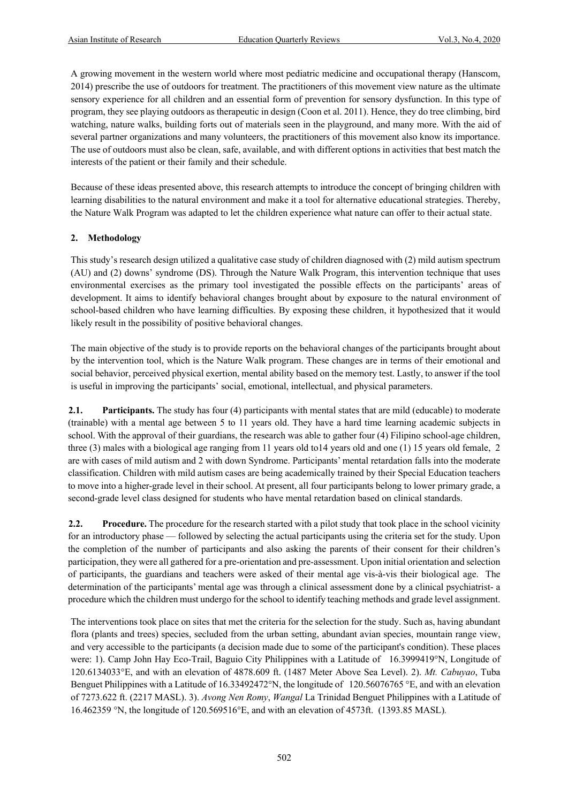A growing movement in the western world where most pediatric medicine and occupational therapy (Hanscom, 2014) prescribe the use of outdoors for treatment. The practitioners of this movement view nature as the ultimate sensory experience for all children and an essential form of prevention for sensory dysfunction. In this type of program, they see playing outdoors as therapeutic in design (Coon et al. 2011). Hence, they do tree climbing, bird watching, nature walks, building forts out of materials seen in the playground, and many more. With the aid of several partner organizations and many volunteers, the practitioners of this movement also know its importance. The use of outdoors must also be clean, safe, available, and with different options in activities that best match the interests of the patient or their family and their schedule.

Because of these ideas presented above, this research attempts to introduce the concept of bringing children with learning disabilities to the natural environment and make it a tool for alternative educational strategies. Thereby, the Nature Walk Program was adapted to let the children experience what nature can offer to their actual state.

#### **2. Methodology**

This study's research design utilized a qualitative case study of children diagnosed with (2) mild autism spectrum (AU) and (2) downs' syndrome (DS). Through the Nature Walk Program, this intervention technique that uses environmental exercises as the primary tool investigated the possible effects on the participants' areas of development. It aims to identify behavioral changes brought about by exposure to the natural environment of school-based children who have learning difficulties. By exposing these children, it hypothesized that it would likely result in the possibility of positive behavioral changes.

The main objective of the study is to provide reports on the behavioral changes of the participants brought about by the intervention tool, which is the Nature Walk program. These changes are in terms of their emotional and social behavior, perceived physical exertion, mental ability based on the memory test. Lastly, to answer if the tool is useful in improving the participants' social, emotional, intellectual, and physical parameters.

**2.1. Participants.** The study has four (4) participants with mental states that are mild (educable) to moderate (trainable) with a mental age between 5 to 11 years old. They have a hard time learning academic subjects in school. With the approval of their guardians, the research was able to gather four (4) Filipino school-age children, three (3) males with a biological age ranging from 11 years old to14 years old and one (1) 15 years old female, 2 are with cases of mild autism and 2 with down Syndrome. Participants' mental retardation falls into the moderate classification. Children with mild autism cases are being academically trained by their Special Education teachers to move into a higher-grade level in their school. At present, all four participants belong to lower primary grade, a second-grade level class designed for students who have mental retardation based on clinical standards.

**2.2. Procedure.** The procedure for the research started with a pilot study that took place in the school vicinity for an introductory phase — followed by selecting the actual participants using the criteria set for the study. Upon the completion of the number of participants and also asking the parents of their consent for their children's participation, they were all gathered for a pre-orientation and pre-assessment. Upon initial orientation and selection of participants, the guardians and teachers were asked of their mental age vis-à-vis their biological age. The determination of the participants' mental age was through a clinical assessment done by a clinical psychiatrist- a procedure which the children must undergo for the school to identify teaching methods and grade level assignment.

The interventions took place on sites that met the criteria for the selection for the study. Such as, having abundant flora (plants and trees) species, secluded from the urban setting, abundant avian species, mountain range view, and very accessible to the participants (a decision made due to some of the participant's condition). These places were: 1). Camp John Hay Eco-Trail, Baguio City Philippines with a Latitude of 16.3999419°N, Longitude of 120.6134033°E, and with an elevation of 4878.609 ft. (1487 Meter Above Sea Level). 2). *Mt. Cabuyao*, Tuba Benguet Philippines with a Latitude of 16.33492472°N, the longitude of 120.56076765 °E, and with an elevation of 7273.622 ft. (2217 MASL). 3). *Avong Nen Romy*, *Wangal* La Trinidad Benguet Philippines with a Latitude of 16.462359 °N, the longitude of 120.569516°E, and with an elevation of 4573ft. (1393.85 MASL)*.*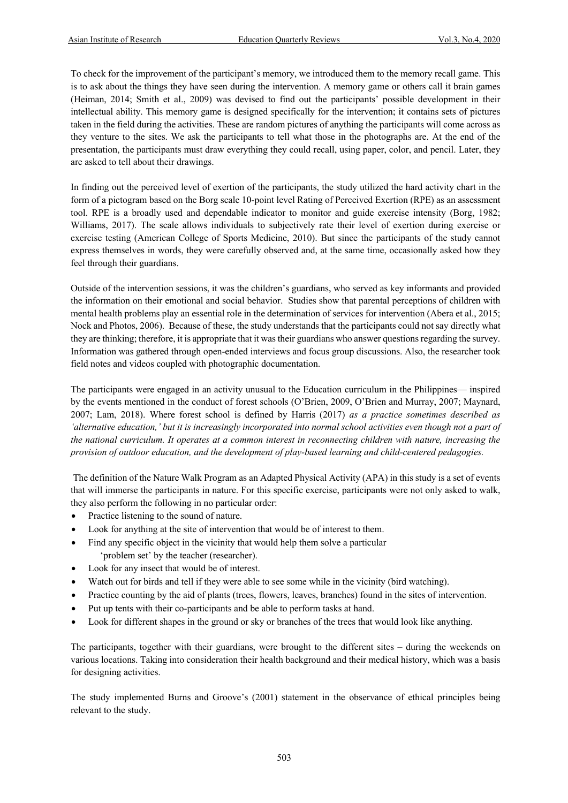To check for the improvement of the participant's memory, we introduced them to the memory recall game. This is to ask about the things they have seen during the intervention. A memory game or others call it brain games (Heiman, 2014; Smith et al., 2009) was devised to find out the participants' possible development in their intellectual ability. This memory game is designed specifically for the intervention; it contains sets of pictures taken in the field during the activities. These are random pictures of anything the participants will come across as they venture to the sites. We ask the participants to tell what those in the photographs are. At the end of the presentation, the participants must draw everything they could recall, using paper, color, and pencil. Later, they are asked to tell about their drawings.

In finding out the perceived level of exertion of the participants, the study utilized the hard activity chart in the form of a pictogram based on the Borg scale 10-point level Rating of Perceived Exertion (RPE) as an assessment tool. RPE is a broadly used and dependable indicator to monitor and guide exercise intensity (Borg, 1982; Williams, 2017). The scale allows individuals to subjectively rate their level of exertion during exercise or exercise testing (American College of Sports Medicine, 2010). But since the participants of the study cannot express themselves in words, they were carefully observed and, at the same time, occasionally asked how they feel through their guardians.

Outside of the intervention sessions, it was the children's guardians, who served as key informants and provided the information on their emotional and social behavior. Studies show that parental perceptions of children with mental health problems play an essential role in the determination of services for intervention (Abera et al., 2015; Nock and Photos, 2006). Because of these, the study understands that the participants could not say directly what they are thinking; therefore, it is appropriate that it was their guardians who answer questions regarding the survey. Information was gathered through open-ended interviews and focus group discussions. Also, the researcher took field notes and videos coupled with photographic documentation.

The participants were engaged in an activity unusual to the Education curriculum in the Philippines— inspired by the events mentioned in the conduct of forest schools (O'Brien, 2009, O'Brien and Murray, 2007; Maynard, 2007; Lam, 2018). Where forest school is defined by Harris (2017) *as a practice sometimes described as 'alternative education,' but it is increasingly incorporated into normal school activities even though not a part of the national curriculum. It operates at a common interest in reconnecting children with nature, increasing the provision of outdoor education, and the development of play-based learning and child-centered pedagogies.*

The definition of the Nature Walk Program as an Adapted Physical Activity (APA) in this study is a set of events that will immerse the participants in nature. For this specific exercise, participants were not only asked to walk, they also perform the following in no particular order:

- Practice listening to the sound of nature.
- Look for anything at the site of intervention that would be of interest to them.
- Find any specific object in the vicinity that would help them solve a particular 'problem set' by the teacher (researcher).
- Look for any insect that would be of interest.
- Watch out for birds and tell if they were able to see some while in the vicinity (bird watching).
- Practice counting by the aid of plants (trees, flowers, leaves, branches) found in the sites of intervention.
- Put up tents with their co-participants and be able to perform tasks at hand.
- Look for different shapes in the ground or sky or branches of the trees that would look like anything.

The participants, together with their guardians, were brought to the different sites – during the weekends on various locations. Taking into consideration their health background and their medical history, which was a basis for designing activities.

The study implemented Burns and Groove's (2001) statement in the observance of ethical principles being relevant to the study.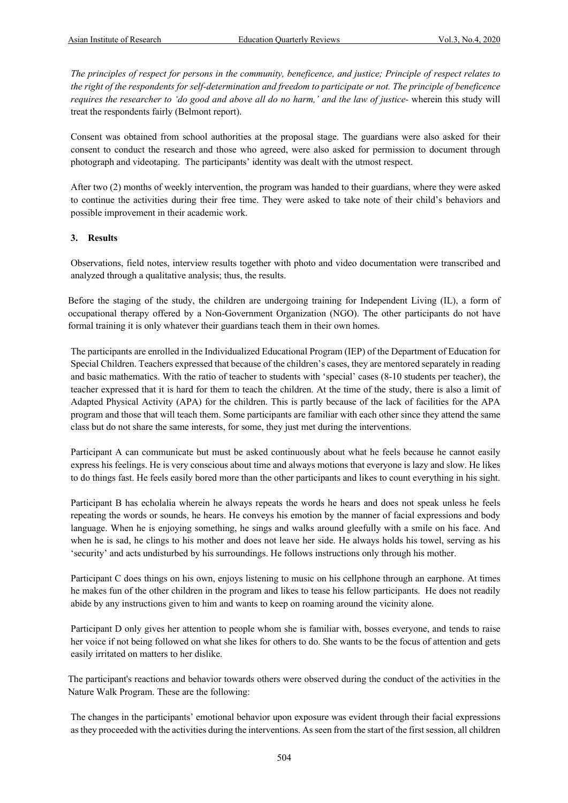*The principles of respect for persons in the community, beneficence, and justice; Principle of respect relates to the right of the respondents for self-determination and freedom to participate or not. The principle of beneficence requires the researcher to 'do good and above all do no harm,' and the law of justice-* wherein this study will treat the respondents fairly (Belmont report).

Consent was obtained from school authorities at the proposal stage. The guardians were also asked for their consent to conduct the research and those who agreed, were also asked for permission to document through photograph and videotaping. The participants' identity was dealt with the utmost respect.

After two (2) months of weekly intervention, the program was handed to their guardians, where they were asked to continue the activities during their free time. They were asked to take note of their child's behaviors and possible improvement in their academic work.

#### **3. Results**

Observations, field notes, interview results together with photo and video documentation were transcribed and analyzed through a qualitative analysis; thus, the results.

Before the staging of the study, the children are undergoing training for Independent Living (IL), a form of occupational therapy offered by a Non-Government Organization (NGO). The other participants do not have formal training it is only whatever their guardians teach them in their own homes.

The participants are enrolled in the Individualized Educational Program (IEP) of the Department of Education for Special Children. Teachers expressed that because of the children's cases, they are mentored separately in reading and basic mathematics. With the ratio of teacher to students with 'special' cases (8-10 students per teacher), the teacher expressed that it is hard for them to teach the children. At the time of the study, there is also a limit of Adapted Physical Activity (APA) for the children. This is partly because of the lack of facilities for the APA program and those that will teach them. Some participants are familiar with each other since they attend the same class but do not share the same interests, for some, they just met during the interventions.

Participant A can communicate but must be asked continuously about what he feels because he cannot easily express his feelings. He is very conscious about time and always motions that everyone is lazy and slow. He likes to do things fast. He feels easily bored more than the other participants and likes to count everything in his sight.

Participant B has echolalia wherein he always repeats the words he hears and does not speak unless he feels repeating the words or sounds, he hears. He conveys his emotion by the manner of facial expressions and body language. When he is enjoying something, he sings and walks around gleefully with a smile on his face. And when he is sad, he clings to his mother and does not leave her side. He always holds his towel, serving as his 'security' and acts undisturbed by his surroundings. He follows instructions only through his mother.

Participant C does things on his own, enjoys listening to music on his cellphone through an earphone. At times he makes fun of the other children in the program and likes to tease his fellow participants. He does not readily abide by any instructions given to him and wants to keep on roaming around the vicinity alone.

Participant D only gives her attention to people whom she is familiar with, bosses everyone, and tends to raise her voice if not being followed on what she likes for others to do. She wants to be the focus of attention and gets easily irritated on matters to her dislike.

The participant's reactions and behavior towards others were observed during the conduct of the activities in the Nature Walk Program. These are the following:

The changes in the participants' emotional behavior upon exposure was evident through their facial expressions as they proceeded with the activities during the interventions. As seen from the start of the first session, all children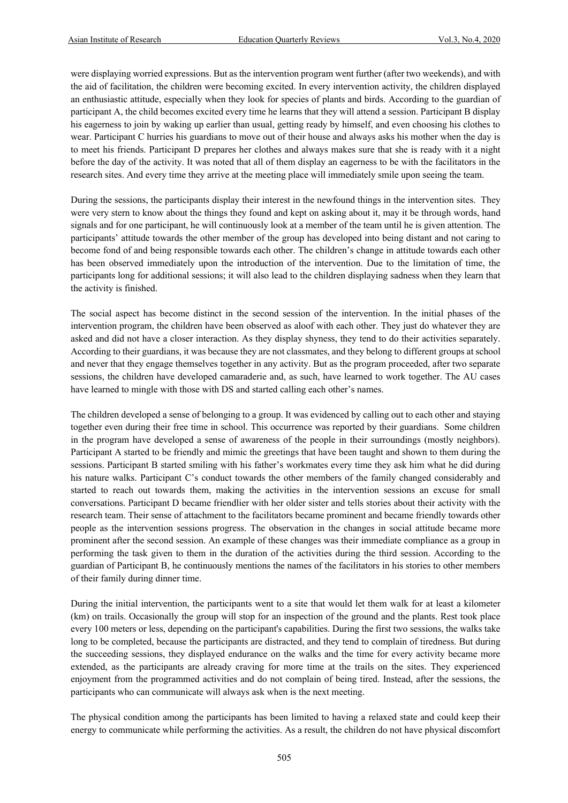were displaying worried expressions. But as the intervention program went further (after two weekends), and with the aid of facilitation, the children were becoming excited. In every intervention activity, the children displayed an enthusiastic attitude, especially when they look for species of plants and birds. According to the guardian of participant A, the child becomes excited every time he learns that they will attend a session. Participant B display his eagerness to join by waking up earlier than usual, getting ready by himself, and even choosing his clothes to wear. Participant C hurries his guardians to move out of their house and always asks his mother when the day is to meet his friends. Participant D prepares her clothes and always makes sure that she is ready with it a night before the day of the activity. It was noted that all of them display an eagerness to be with the facilitators in the research sites. And every time they arrive at the meeting place will immediately smile upon seeing the team.

During the sessions, the participants display their interest in the newfound things in the intervention sites. They were very stern to know about the things they found and kept on asking about it, may it be through words, hand signals and for one participant, he will continuously look at a member of the team until he is given attention. The participants' attitude towards the other member of the group has developed into being distant and not caring to become fond of and being responsible towards each other. The children's change in attitude towards each other has been observed immediately upon the introduction of the intervention. Due to the limitation of time, the participants long for additional sessions; it will also lead to the children displaying sadness when they learn that the activity is finished.

The social aspect has become distinct in the second session of the intervention. In the initial phases of the intervention program, the children have been observed as aloof with each other. They just do whatever they are asked and did not have a closer interaction. As they display shyness, they tend to do their activities separately. According to their guardians, it was because they are not classmates, and they belong to different groups at school and never that they engage themselves together in any activity. But as the program proceeded, after two separate sessions, the children have developed camaraderie and, as such, have learned to work together. The AU cases have learned to mingle with those with DS and started calling each other's names.

The children developed a sense of belonging to a group. It was evidenced by calling out to each other and staying together even during their free time in school. This occurrence was reported by their guardians. Some children in the program have developed a sense of awareness of the people in their surroundings (mostly neighbors). Participant A started to be friendly and mimic the greetings that have been taught and shown to them during the sessions. Participant B started smiling with his father's workmates every time they ask him what he did during his nature walks. Participant C's conduct towards the other members of the family changed considerably and started to reach out towards them, making the activities in the intervention sessions an excuse for small conversations. Participant D became friendlier with her older sister and tells stories about their activity with the research team. Their sense of attachment to the facilitators became prominent and became friendly towards other people as the intervention sessions progress. The observation in the changes in social attitude became more prominent after the second session. An example of these changes was their immediate compliance as a group in performing the task given to them in the duration of the activities during the third session. According to the guardian of Participant B, he continuously mentions the names of the facilitators in his stories to other members of their family during dinner time.

During the initial intervention, the participants went to a site that would let them walk for at least a kilometer (km) on trails. Occasionally the group will stop for an inspection of the ground and the plants. Rest took place every 100 meters or less, depending on the participant's capabilities. During the first two sessions, the walks take long to be completed, because the participants are distracted, and they tend to complain of tiredness. But during the succeeding sessions, they displayed endurance on the walks and the time for every activity became more extended, as the participants are already craving for more time at the trails on the sites. They experienced enjoyment from the programmed activities and do not complain of being tired. Instead, after the sessions, the participants who can communicate will always ask when is the next meeting.

The physical condition among the participants has been limited to having a relaxed state and could keep their energy to communicate while performing the activities. As a result, the children do not have physical discomfort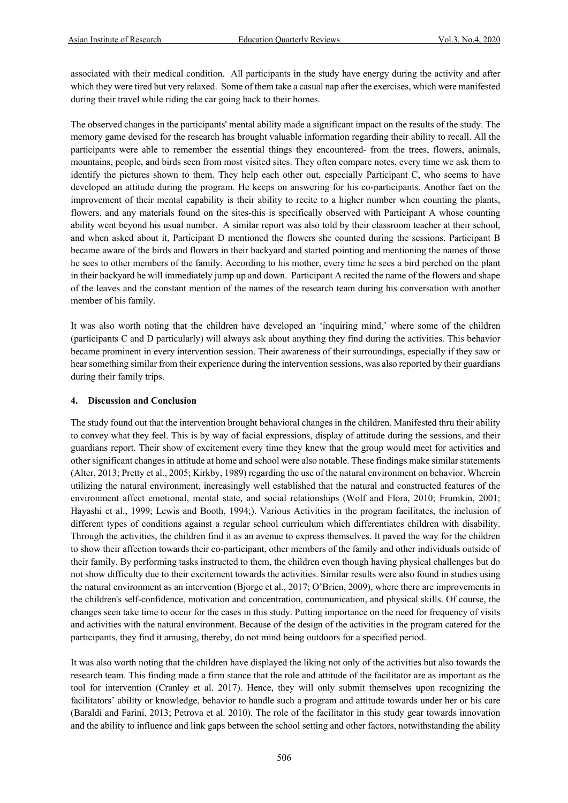associated with their medical condition. All participants in the study have energy during the activity and after which they were tired but very relaxed. Some of them take a casual nap after the exercises, which were manifested during their travel while riding the car going back to their homes.

The observed changes in the participants' mental ability made a significant impact on the results of the study. The memory game devised for the research has brought valuable information regarding their ability to recall. All the participants were able to remember the essential things they encountered- from the trees, flowers, animals, mountains, people, and birds seen from most visited sites. They often compare notes, every time we ask them to identify the pictures shown to them. They help each other out, especially Participant C, who seems to have developed an attitude during the program. He keeps on answering for his co-participants. Another fact on the improvement of their mental capability is their ability to recite to a higher number when counting the plants, flowers, and any materials found on the sites-this is specifically observed with Participant A whose counting ability went beyond his usual number. A similar report was also told by their classroom teacher at their school, and when asked about it, Participant D mentioned the flowers she counted during the sessions. Participant B became aware of the birds and flowers in their backyard and started pointing and mentioning the names of those he sees to other members of the family. According to his mother, every time he sees a bird perched on the plant in their backyard he will immediately jump up and down. Participant A recited the name of the flowers and shape of the leaves and the constant mention of the names of the research team during his conversation with another member of his family.

It was also worth noting that the children have developed an 'inquiring mind,' where some of the children (participants C and D particularly) will always ask about anything they find during the activities. This behavior became prominent in every intervention session. Their awareness of their surroundings, especially if they saw or hear something similar from their experience during the intervention sessions, was also reported by their guardians during their family trips.

#### **4. Discussion and Conclusion**

The study found out that the intervention brought behavioral changes in the children. Manifested thru their ability to convey what they feel. This is by way of facial expressions, display of attitude during the sessions, and their guardians report. Their show of excitement every time they knew that the group would meet for activities and other significant changes in attitude at home and school were also notable. These findings make similar statements (Alter, 2013; Pretty et al., 2005; Kirkby, 1989) regarding the use of the natural environment on behavior. Wherein utilizing the natural environment, increasingly well established that the natural and constructed features of the environment affect emotional, mental state, and social relationships (Wolf and Flora, 2010; Frumkin, 2001; Hayashi et al., 1999; Lewis and Booth, 1994;). Various Activities in the program facilitates, the inclusion of different types of conditions against a regular school curriculum which differentiates children with disability. Through the activities, the children find it as an avenue to express themselves. It paved the way for the children to show their affection towards their co-participant, other members of the family and other individuals outside of their family. By performing tasks instructed to them, the children even though having physical challenges but do not show difficulty due to their excitement towards the activities. Similar results were also found in studies using the natural environment as an intervention (Bjorge et al., 2017; O'Brien, 2009), where there are improvements in the children's self-confidence, motivation and concentration, communication, and physical skills. Of course, the changes seen take time to occur for the cases in this study. Putting importance on the need for frequency of visits and activities with the natural environment. Because of the design of the activities in the program catered for the participants, they find it amusing, thereby, do not mind being outdoors for a specified period.

It was also worth noting that the children have displayed the liking not only of the activities but also towards the research team. This finding made a firm stance that the role and attitude of the facilitator are as important as the tool for intervention (Cranley et al. 2017). Hence, they will only submit themselves upon recognizing the facilitators' ability or knowledge, behavior to handle such a program and attitude towards under her or his care (Baraldi and Farini, 2013; Petrova et al. 2010). The role of the facilitator in this study gear towards innovation and the ability to influence and link gaps between the school setting and other factors, notwithstanding the ability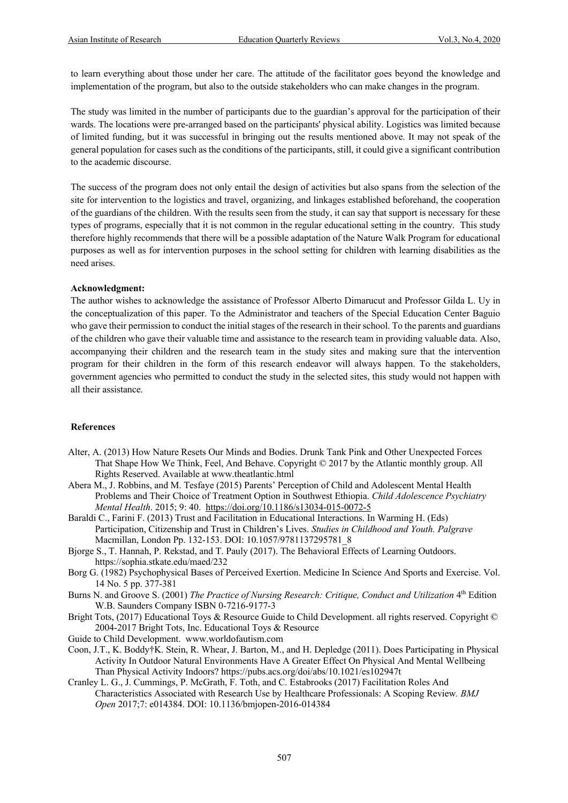to learn everything about those under her care. The attitude of the facilitator goes beyond the knowledge and implementation of the program, but also to the outside stakeholders who can make changes in the program.

The study was limited in the number of participants due to the guardian's approval for the participation of their wards. The locations were pre-arranged based on the participants' physical ability. Logistics was limited because of limited funding, but it was successful in bringing out the results mentioned above. It may not speak of the general population for cases such as the conditions of the participants, still, it could give a significant contribution to the academic discourse.

The success of the program does not only entail the design of activities but also spans from the selection of the site for intervention to the logistics and travel, organizing, and linkages established beforehand, the cooperation of the guardians of the children. With the results seen from the study, it can say that support is necessary for these types of programs, especially that it is not common in the regular educational setting in the country. This study therefore highly recommends that there will be a possible adaptation of the Nature Walk Program for educational purposes as well as for intervention purposes in the school setting for children with learning disabilities as the need arises.

#### **Acknowledgment:**

The author wishes to acknowledge the assistance of Professor Alberto Dimarucut and Professor Gilda L. Uy in the conceptualization of this paper. To the Administrator and teachers of the Special Education Center Baguio who gave their permission to conduct the initial stages of the research in their school. To the parents and guardians of the children who gave their valuable time and assistance to the research team in providing valuable data. Also, accompanying their children and the research team in the study sites and making sure that the intervention program for their children in the form of this research endeavor will always happen. To the stakeholders, government agencies who permitted to conduct the study in the selected sites, this study would not happen with all their assistance.

#### **References**

- Alter, A. (2013) How Nature Resets Our Minds and Bodies. Drunk Tank Pink and Other Unexpected Forces That Shape How We Think, Feel, And Behave. Copyright © 2017 by the Atlantic monthly group. All Rights Reserved. Available at www.theatlantic.html
- Abera M., J. Robbins, and M. Tesfaye (2015) Parents' Perception of Child and Adolescent Mental Health Problems and Their Choice of Treatment Option in Southwest Ethiopia. *Child Adolescence Psychiatry Mental Health*. 2015; 9: 40. https://doi.org/10.1186/s13034-015-0072-5
- Baraldi C., Farini F. (2013) Trust and Facilitation in Educational Interactions. In Warming H. (Eds) Participation, Citizenship and Trust in Children's Lives. *Studies in Childhood and Youth. Palgrave* Macmillan, London Pp. 132-153. DOI: 10.1057/9781137295781\_8
- Bjorge S., T. Hannah, P. Rekstad, and T. Pauly (2017). The Behavioral Effects of Learning Outdoors. https://sophia.stkate.edu/maed/232
- Borg G. (1982) Psychophysical Bases of Perceived Exertion. Medicine In Science And Sports and Exercise. Vol. 14 No. 5 pp. 377-381
- Burns N. and Groove S. (2001) *The Practice of Nursing Research: Critique, Conduct and Utilization* 4th Edition W.B. Saunders Company ISBN 0-7216-9177-3
- Bright Tots, (2017) Educational Toys & Resource Guide to Child Development. all rights reserved. Copyright © 2004-2017 Bright Tots, Inc. Educational Toys & Resource
- Guide to Child Development. www.worldofautism.com
- Coon, J.T., K. Boddy†K. Stein, R. Whear, J. Barton, M., and H. Depledge (2011). Does Participating in Physical Activity In Outdoor Natural Environments Have A Greater Effect On Physical And Mental Wellbeing Than Physical Activity Indoors? https://pubs.acs.org/doi/abs/10.1021/es102947t
- Cranley L. G., J. Cummings, P. McGrath, F. Toth, and C. Estabrooks (2017) Facilitation Roles And Characteristics Associated with Research Use by Healthcare Professionals: A Scoping Review*. BMJ Open* 2017;7: e014384. DOI: 10.1136/bmjopen-2016-014384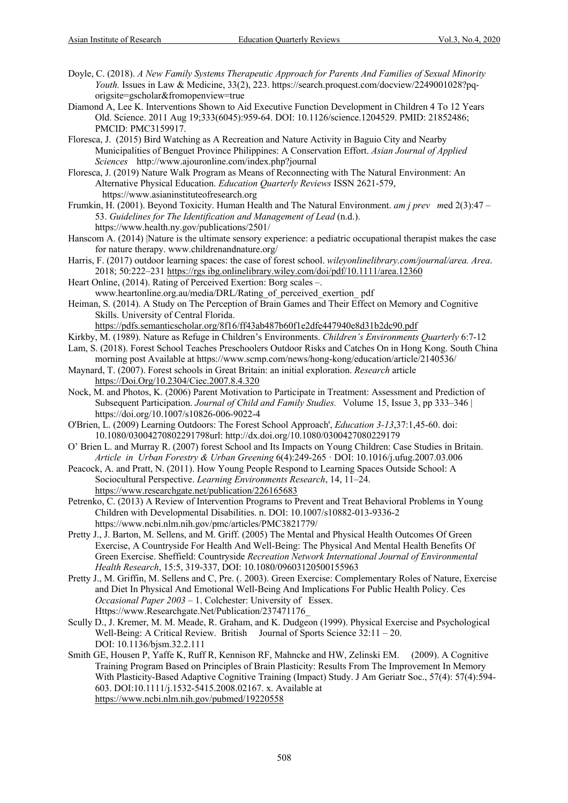- Doyle, C. (2018). *A New Family Systems Therapeutic Approach for Parents And Families of Sexual Minority Youth.* Issues in Law & Medicine, 33(2), 223. https://search.proquest.com/docview/2249001028?pqorigsite=gscholar&fromopenview=true
- Diamond A, Lee K. Interventions Shown to Aid Executive Function Development in Children 4 To 12 Years Old. Science. 2011 Aug 19;333(6045):959-64. DOI: 10.1126/science.1204529. PMID: 21852486; PMCID: PMC3159917.
- Floresca, J. (2015) Bird Watching as A Recreation and Nature Activity in Baguio City and Nearby Municipalities of Benguet Province Philippines: A Conservation Effort. *Asian Journal of Applied Sciences* http://www.ajouronline.com/index.php?journal
- Floresca, J. (2019) Nature Walk Program as Means of Reconnecting with The Natural Environment: An Alternative Physical Education. *Education Quarterly Reviews* ISSN 2621-579, https://www.asianinstituteofresearch.org
- Frumkin, H. (2001). Beyond Toxicity. Human Health and The Natural Environment. *am j prev m*ed 2(3):47 53. *Guidelines for The Identification and Management of Lead* (n.d.). https://www.health.ny.gov/publications/2501/
- Hanscom A. (2014) |Nature is the ultimate sensory experience: a pediatric occupational therapist makes the case for nature therapy. www.childrenandnature.org/
- Harris, F. (2017) outdoor learning spaces: the case of forest school. *wileyonlinelibrary.com/journal/area. Area*. 2018; 50:222–231 https://rgs ibg.onlinelibrary.wiley.com/doi/pdf/10.1111/area.12360
- Heart Online, (2014). Rating of Perceived Exertion: Borg scales –.
- www.heartonline.org.au/media/DRL/Rating\_of\_perceived\_exertion\_ pdf Heiman, S. (2014). A Study on The Perception of Brain Games and Their Effect on Memory and Cognitive Skills. University of Central Florida.

https://pdfs.semanticscholar.org/8f16/ff43ab487b60f1e2dfe447940e8d31b2dc90.pdf

- Kirkby, M. (1989). Nature as Refuge in Children's Environments. *Children's Environments Quarterly* 6:7-12
- Lam, S. (2018). Forest School Teaches Preschoolers Outdoor Risks and Catches On in Hong Kong. South China morning post Available at https://www.scmp.com/news/hong-kong/education/article/2140536/
- Maynard, T. (2007). Forest schools in Great Britain: an initial exploration. *Research* article https://Doi.Org/10.2304/Ciec.2007.8.4.320
- Nock, M. and Photos, K. (2006) Parent Motivation to Participate in Treatment: Assessment and Prediction of Subsequent Participation. *Journal of Child and Family Studies.* Volume 15, Issue 3, pp 333–346 | https://doi.org/10.1007/s10826-006-9022-4
- O'Brien, L. (2009) Learning Outdoors: The Forest School Approach', *Education 3-13*,37:1,45-60. doi: 10.1080/03004270802291798url: http://dx.doi.org/10.1080/0300427080229179
- O' Brien L. and Murray R. (2007) forest School and Its Impacts on Young Children: Case Studies in Britain. *Article in Urban Forestry & Urban Greening* 6(4):249-265 · DOI: 10.1016/j.ufug.2007.03.006
- Peacock, A. and Pratt, N. (2011). How Young People Respond to Learning Spaces Outside School: A Sociocultural Perspective. *Learning Environments Research*, 14, 11–24. https://www.researchgate.net/publication/226165683
- Petrenko, C. (2013) A Review of Intervention Programs to Prevent and Treat Behavioral Problems in Young Children with Developmental Disabilities. n. DOI: 10.1007/s10882-013-9336-2 https://www.ncbi.nlm.nih.gov/pmc/articles/PMC3821779/
- Pretty J., J. Barton, M. Sellens, and M. Griff. (2005) The Mental and Physical Health Outcomes Of Green Exercise, A Countryside For Health And Well-Being: The Physical And Mental Health Benefits Of Green Exercise. Sheffield: Countryside *Recreation Network International Journal of Environmental Health Research*, 15:5, 319-337, DOI: 10.1080/09603120500155963
- Pretty J., M. Griffin, M. Sellens and C, Pre. (. 2003). Green Exercise: Complementary Roles of Nature, Exercise and Diet In Physical And Emotional Well-Being And Implications For Public Health Policy. Ces *Occasional Paper 2003* – 1. Colchester: University of Essex. Https://www.Researchgate.Net/Publication/237471176\_
- Scully D., J. Kremer, M. M. Meade, R. Graham, and K. Dudgeon (1999). Physical Exercise and Psychological Well-Being: A Critical Review. British Journal of Sports Science  $32:11 - 20$ . DOI: 10.1136/bjsm.32.2.111
- Smith GE, Housen P, Yaffe K, Ruff R, Kennison RF, Mahncke and HW, Zelinski EM. (2009). A Cognitive Training Program Based on Principles of Brain Plasticity: Results From The Improvement In Memory With Plasticity-Based Adaptive Cognitive Training (Impact) Study. J Am Geriatr Soc., 57(4): 57(4):594- 603. DOI:10.1111/j.1532-5415.2008.02167. x. Available at https://www.ncbi.nlm.nih.gov/pubmed/19220558